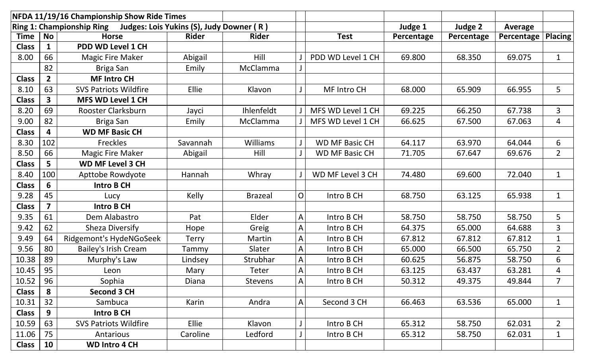| NFDA 11/19/16 Championship Show Ride Times                         |                |                              |              |                 |              |                       |            |            |            |                |
|--------------------------------------------------------------------|----------------|------------------------------|--------------|-----------------|--------------|-----------------------|------------|------------|------------|----------------|
| Ring 1: Championship Ring Judges: Lois Yukins (S), Judy Downer (R) |                |                              |              |                 |              |                       | Judge 1    | Judge 2    | Average    |                |
| Time                                                               | <b>No</b>      | <b>Horse</b>                 | <b>Rider</b> | <b>Rider</b>    |              | <b>Test</b>           | Percentage | Percentage | Percentage | <b>Placing</b> |
| <b>Class</b>                                                       | $\mathbf 1$    | <b>PDD WD Level 1 CH</b>     |              |                 |              |                       |            |            |            |                |
| 8.00                                                               | 66             | <b>Magic Fire Maker</b>      | Abigail      | Hill            |              | PDD WD Level 1 CH     | 69.800     | 68.350     | 69.075     | $\mathbf{1}$   |
|                                                                    | 82             | Briga San                    | Emily        | McClamma        |              |                       |            |            |            |                |
| <b>Class</b>                                                       | 2 <sup>1</sup> | <b>MF Intro CH</b>           |              |                 |              |                       |            |            |            |                |
| 8.10                                                               | 63             | <b>SVS Patriots Wildfire</b> | Ellie        | Klavon          |              | <b>MF Intro CH</b>    | 68.000     | 65.909     | 66.955     | 5 <sup>1</sup> |
| <b>Class</b>                                                       | 3              | <b>MFS WD Level 1 CH</b>     |              |                 |              |                       |            |            |            |                |
| 8.20                                                               | 69             | Rooster Clarksburn           | Jayci        | Ihlenfeldt      |              | MFS WD Level 1 CH     | 69.225     | 66.250     | 67.738     | $\overline{3}$ |
| 9.00                                                               | 82             | Briga San                    | Emily        | McClamma        |              | MFS WD Level 1 CH     | 66.625     | 67.500     | 67.063     | $\overline{4}$ |
| <b>Class</b>                                                       | 4              | <b>WD MF Basic CH</b>        |              |                 |              |                       |            |            |            |                |
| 8.30                                                               | 102            | Freckles                     | Savannah     | <b>Williams</b> |              | <b>WD MF Basic CH</b> | 64.117     | 63.970     | 64.044     | 6              |
| 8.50                                                               | 66             | <b>Magic Fire Maker</b>      | Abigail      | Hill            |              | <b>WD MF Basic CH</b> | 71.705     | 67.647     | 69.676     | $\overline{2}$ |
| <b>Class</b>                                                       | 5              | <b>WD MF Level 3 CH</b>      |              |                 |              |                       |            |            |            |                |
| 8.40                                                               | 100            | Apttobe Rowdyote             | Hannah       | Whray           |              | WD MF Level 3 CH      | 74.480     | 69.600     | 72.040     | $\mathbf{1}$   |
| <b>Class</b>                                                       | 6              | <b>Intro B CH</b>            |              |                 |              |                       |            |            |            |                |
| 9.28                                                               | 45             | Lucy                         | Kelly        | <b>Brazeal</b>  | $\mathsf{O}$ | Intro B CH            | 68.750     | 63.125     | 65.938     | $\mathbf{1}$   |
| <b>Class</b>                                                       | $\overline{7}$ | <b>Intro B CH</b>            |              |                 |              |                       |            |            |            |                |
| 9.35                                                               | 61             | Dem Alabastro                | Pat          | Elder           | $\mathsf{A}$ | Intro B CH            | 58.750     | 58.750     | 58.750     | 5              |
| 9.42                                                               | 62             | <b>Sheza Diversify</b>       | Hope         | Greig           | $\mathsf{A}$ | Intro B CH            | 64.375     | 65.000     | 64.688     | 3              |
| 9.49                                                               | 64             | Ridgemont's HydeNGoSeek      | <b>Terry</b> | Martin          | A            | Intro B CH            | 67.812     | 67.812     | 67.812     | $\mathbf{1}$   |
| 9.56                                                               | 80             | Bailey's Irish Cream         | Tammy        | Slater          | A            | Intro B CH            | 65.000     | 66.500     | 65.750     | $\overline{2}$ |
| 10.38                                                              | 89             | Murphy's Law                 | Lindsey      | Strubhar        | $\mathsf{A}$ | Intro B CH            | 60.625     | 56.875     | 58.750     | 6              |
| 10.45                                                              | 95             | Leon                         | Mary         | Teter           | A            | Intro B CH            | 63.125     | 63.437     | 63.281     | 4              |
| 10.52                                                              | 96             | Sophia                       | Diana        | <b>Stevens</b>  | $\mathsf{A}$ | Intro B CH            | 50.312     | 49.375     | 49.844     | $\overline{7}$ |
| <b>Class</b>                                                       | 8              | <b>Second 3 CH</b>           |              |                 |              |                       |            |            |            |                |
| 10.31                                                              | 32             | Sambuca                      | Karin        | Andra           | A            | Second 3 CH           | 66.463     | 63.536     | 65.000     | $\mathbf{1}$   |
| <b>Class</b>                                                       | 9              | <b>Intro B CH</b>            |              |                 |              |                       |            |            |            |                |
| 10.59                                                              | 63             | <b>SVS Patriots Wildfire</b> | <b>Ellie</b> | Klavon          | J            | Intro B CH            | 65.312     | 58.750     | 62.031     | $2^{\circ}$    |
| 11.06                                                              | 75             | Antarious                    | Caroline     | Ledford         | J            | Intro B CH            | 65.312     | 58.750     | 62.031     | $\mathbf{1}$   |
| <b>Class</b>                                                       | 10             | <b>WD Intro 4 CH</b>         |              |                 |              |                       |            |            |            |                |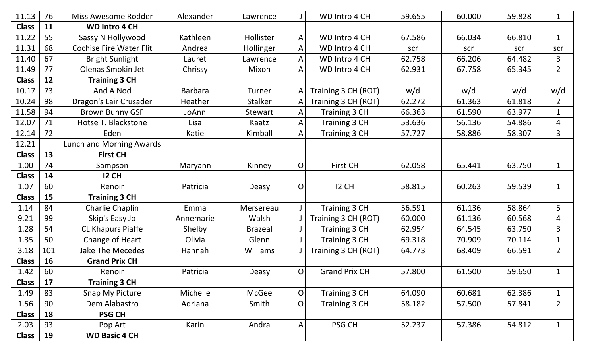| 11.13        | 76  | Miss Awesome Rodder            | Alexander      | Lawrence        |                | WD Intro 4 CH        | 59.655 | 60.000 | 59.828 | $\mathbf{1}$   |
|--------------|-----|--------------------------------|----------------|-----------------|----------------|----------------------|--------|--------|--------|----------------|
| <b>Class</b> | 11  | <b>WD Intro 4 CH</b>           |                |                 |                |                      |        |        |        |                |
| 11.22        | 55  | Sassy N Hollywood              | Kathleen       | Hollister       | $\mathsf{A}$   | WD Intro 4 CH        | 67.586 | 66.034 | 66.810 | $\mathbf{1}$   |
| 11.31        | 68  | <b>Cochise Fire Water Flit</b> | Andrea         | Hollinger       | $\mathsf{A}$   | WD Intro 4 CH        | scr    | scr    | scr    | scr            |
| 11.40        | 67  | <b>Bright Sunlight</b>         | Lauret         | Lawrence        | $\mathsf A$    | WD Intro 4 CH        | 62.758 | 66.206 | 64.482 | 3              |
| 11.49        | 77  | Olenas Smokin Jet              | Chrissy        | Mixon           | A              | WD Intro 4 CH        | 62.931 | 67.758 | 65.345 | $2^{\circ}$    |
| <b>Class</b> | 12  | <b>Training 3 CH</b>           |                |                 |                |                      |        |        |        |                |
| 10.17        | 73  | And A Nod                      | <b>Barbara</b> | Turner          | $\mathsf{A}$   | Training 3 CH (ROT)  | w/d    | w/d    | w/d    | w/d            |
| 10.24        | 98  | Dragon's Lair Crusader         | Heather        | <b>Stalker</b>  | A              | Training 3 CH (ROT)  | 62.272 | 61.363 | 61.818 | $\overline{2}$ |
| 11.58        | 94  | <b>Brown Bunny GSF</b>         | JoAnn          | <b>Stewart</b>  | $\mathsf{A}$   | Training 3 CH        | 66.363 | 61.590 | 63.977 | $\mathbf 1$    |
| 12.07        | 71  | Hotse T. Blackstone            | Lisa           | Kaatz           | $\mathsf{A}$   | Training 3 CH        | 53.636 | 56.136 | 54.886 | 4              |
| 12.14        | 72  | Eden                           | Katie          | Kimball         | $\overline{A}$ | Training 3 CH        | 57.727 | 58.886 | 58.307 | $\overline{3}$ |
| 12.21        |     | Lunch and Morning Awards       |                |                 |                |                      |        |        |        |                |
| <b>Class</b> | 13  | <b>First CH</b>                |                |                 |                |                      |        |        |        |                |
| 1.00         | 74  | Sampson                        | Maryann        | Kinney          | $\mathsf O$    | <b>First CH</b>      | 62.058 | 65.441 | 63.750 | $\mathbf{1}$   |
| <b>Class</b> | 14  | <b>12 CH</b>                   |                |                 |                |                      |        |        |        |                |
| 1.07         | 60  | Renoir                         | Patricia       | Deasy           | $\mathsf O$    | <b>I2 CH</b>         | 58.815 | 60.263 | 59.539 | $\mathbf{1}$   |
| <b>Class</b> | 15  | <b>Training 3 CH</b>           |                |                 |                |                      |        |        |        |                |
| 1.14         | 84  | Charlie Chaplin                | Emma           | Mersereau       | $\mathsf J$    | Training 3 CH        | 56.591 | 61.136 | 58.864 | 5              |
| 9.21         | 99  | Skip's Easy Jo                 | Annemarie      | Walsh           |                | Training 3 CH (ROT)  | 60.000 | 61.136 | 60.568 | 4              |
| 1.28         | 54  | CL Khapurs Piaffe              | Shelby         | <b>Brazeal</b>  |                | Training 3 CH        | 62.954 | 64.545 | 63.750 | 3              |
| 1.35         | 50  | Change of Heart                | Olivia         | Glenn           |                | Training 3 CH        | 69.318 | 70.909 | 70.114 | $\mathbf{1}$   |
| 3.18         | 101 | <b>Jake The Mecedes</b>        | Hannah         | <b>Williams</b> |                | Training 3 CH (ROT)  | 64.773 | 68.409 | 66.591 | $\overline{2}$ |
| <b>Class</b> | 16  | <b>Grand Prix CH</b>           |                |                 |                |                      |        |        |        |                |
| 1.42         | 60  | Renoir                         | Patricia       | Deasy           | $\mathsf{O}$   | <b>Grand Prix CH</b> | 57.800 | 61.500 | 59.650 | $\mathbf{1}$   |
| <b>Class</b> | 17  | <b>Training 3 CH</b>           |                |                 |                |                      |        |        |        |                |
| 1.49         | 83  | Snap My Picture                | Michelle       | McGee           | $\mathsf O$    | Training 3 CH        | 64.090 | 60.681 | 62.386 | $\mathbf{1}$   |
| 1.56         | 90  | Dem Alabastro                  | Adriana        | Smith           | $\mathsf{O}$   | Training 3 CH        | 58.182 | 57.500 | 57.841 | $\overline{2}$ |
| <b>Class</b> | 18  | <b>PSG CH</b>                  |                |                 |                |                      |        |        |        |                |
| 2.03         | 93  | Pop Art                        | Karin          | Andra           | $\mathsf{A}$   | PSG CH               | 52.237 | 57.386 | 54.812 | $\mathbf{1}$   |
| <b>Class</b> | 19  | <b>WD Basic 4 CH</b>           |                |                 |                |                      |        |        |        |                |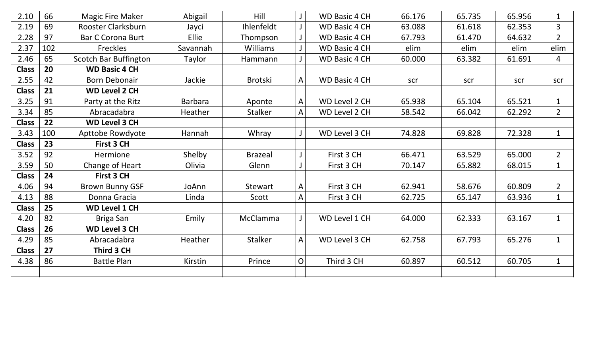| 2.10         | 66  | <b>Magic Fire Maker</b>      | Abigail        | Hill            |              | <b>WD Basic 4 CH</b> | 66.176 | 65.735 | 65.956 | $\mathbf{1}$   |
|--------------|-----|------------------------------|----------------|-----------------|--------------|----------------------|--------|--------|--------|----------------|
| 2.19         | 69  | Rooster Clarksburn           | Jayci          | Ihlenfeldt      |              | <b>WD Basic 4 CH</b> | 63.088 | 61.618 | 62.353 | $\overline{3}$ |
| 2.28         | 97  | <b>Bar C Corona Burt</b>     | Ellie          | Thompson        |              | <b>WD Basic 4 CH</b> | 67.793 | 61.470 | 64.632 | $\overline{2}$ |
| 2.37         | 102 | <b>Freckles</b>              | Savannah       | <b>Williams</b> |              | <b>WD Basic 4 CH</b> | elim   | elim   | elim   | elim           |
| 2.46         | 65  | <b>Scotch Bar Buffington</b> | Taylor         | Hammann         |              | <b>WD Basic 4 CH</b> | 60.000 | 63.382 | 61.691 | $\overline{4}$ |
| <b>Class</b> | 20  | <b>WD Basic 4 CH</b>         |                |                 |              |                      |        |        |        |                |
| 2.55         | 42  | <b>Born Debonair</b>         | Jackie         | Brotski         | $\mathsf{A}$ | <b>WD Basic 4 CH</b> | scr    | scr    | scr    | scr            |
| <b>Class</b> | 21  | <b>WD Level 2 CH</b>         |                |                 |              |                      |        |        |        |                |
| 3.25         | 91  | Party at the Ritz            | <b>Barbara</b> | Aponte          | $\mathsf{A}$ | WD Level 2 CH        | 65.938 | 65.104 | 65.521 | $\mathbf{1}$   |
| 3.34         | 85  | Abracadabra                  | Heather        | <b>Stalker</b>  | $\mathsf{A}$ | WD Level 2 CH        | 58.542 | 66.042 | 62.292 | $2^{\circ}$    |
| <b>Class</b> | 22  | <b>WD Level 3 CH</b>         |                |                 |              |                      |        |        |        |                |
| 3.43         | 100 | Apttobe Rowdyote             | Hannah         | Whray           |              | WD Level 3 CH        | 74.828 | 69.828 | 72.328 | $\mathbf{1}$   |
| <b>Class</b> | 23  | First 3 CH                   |                |                 |              |                      |        |        |        |                |
| 3.52         | 92  | Hermione                     | Shelby         | <b>Brazeal</b>  |              | First 3 CH           | 66.471 | 63.529 | 65.000 | $2^{\circ}$    |
| 3.59         | 50  | Change of Heart              | Olivia         | Glenn           |              | First 3 CH           | 70.147 | 65.882 | 68.015 | $\mathbf{1}$   |
| <b>Class</b> | 24  | First 3 CH                   |                |                 |              |                      |        |        |        |                |
| 4.06         | 94  | <b>Brown Bunny GSF</b>       | JoAnn          | <b>Stewart</b>  | A            | First 3 CH           | 62.941 | 58.676 | 60.809 | $2^{\circ}$    |
| 4.13         | 88  | Donna Gracia                 | Linda          | Scott           | A            | First 3 CH           | 62.725 | 65.147 | 63.936 | $\mathbf{1}$   |
| <b>Class</b> | 25  | <b>WD Level 1 CH</b>         |                |                 |              |                      |        |        |        |                |
| 4.20         | 82  | Briga San                    | Emily          | McClamma        |              | WD Level 1 CH        | 64.000 | 62.333 | 63.167 | $\mathbf{1}$   |
| <b>Class</b> | 26  | <b>WD Level 3 CH</b>         |                |                 |              |                      |        |        |        |                |
| 4.29         | 85  | Abracadabra                  | Heather        | <b>Stalker</b>  | $\mathsf{A}$ | WD Level 3 CH        | 62.758 | 67.793 | 65.276 | $\mathbf{1}$   |
| <b>Class</b> | 27  | Third 3 CH                   |                |                 |              |                      |        |        |        |                |
| 4.38         | 86  | <b>Battle Plan</b>           | Kirstin        | Prince          | $\mathsf{O}$ | Third 3 CH           | 60.897 | 60.512 | 60.705 | $\mathbf{1}$   |
|              |     |                              |                |                 |              |                      |        |        |        |                |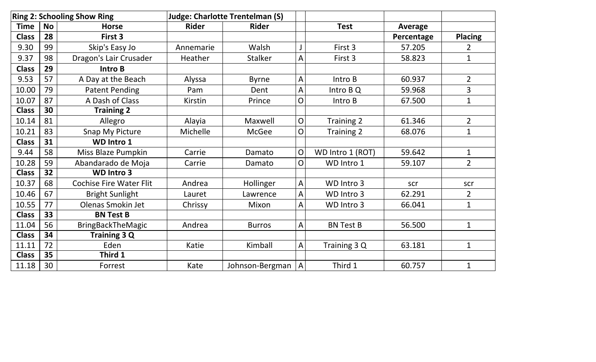|              |           | <b>Ring 2: Schooling Show Ring</b> |              | <b>Judge: Charlotte Trentelman (S)</b> |                |                  |                |                |
|--------------|-----------|------------------------------------|--------------|----------------------------------------|----------------|------------------|----------------|----------------|
| <b>Time</b>  | <b>No</b> | <b>Horse</b>                       | <b>Rider</b> | <b>Rider</b>                           |                | <b>Test</b>      | <b>Average</b> |                |
| <b>Class</b> | 28        | First 3                            |              |                                        |                |                  | Percentage     | <b>Placing</b> |
| 9.30         | 99        | Skip's Easy Jo                     | Annemarie    | Walsh                                  |                | First 3          | 57.205         | 2              |
| 9.37         | 98        | Dragon's Lair Crusader             | Heather      | <b>Stalker</b>                         | A              | First 3          | 58.823         | $\mathbf 1$    |
| <b>Class</b> | 29        | <b>Intro B</b>                     |              |                                        |                |                  |                |                |
| 9.53         | 57        | A Day at the Beach                 | Alyssa       | <b>Byrne</b>                           | A              | Intro B          | 60.937         | $\overline{2}$ |
| 10.00        | 79        | <b>Patent Pending</b>              | Pam          | Dent                                   | Α              | Intro B Q        | 59.968         | 3              |
| 10.07        | 87        | A Dash of Class                    | Kirstin      | Prince                                 | O              | Intro B          | 67.500         | 1              |
| <b>Class</b> | 30        | <b>Training 2</b>                  |              |                                        |                |                  |                |                |
| 10.14        | 81        | Allegro                            | Alayia       | Maxwell                                | $\mathsf{O}$   | Training 2       | 61.346         | $\overline{2}$ |
| 10.21        | 83        | Snap My Picture                    | Michelle     | <b>McGee</b>                           | O              | Training 2       | 68.076         | $\mathbf 1$    |
| <b>Class</b> | 31        | <b>WD Intro 1</b>                  |              |                                        |                |                  |                |                |
| 9.44         | 58        | Miss Blaze Pumpkin                 | Carrie       | Damato                                 | O              | WD Intro 1 (ROT) | 59.642         | $\mathbf{1}$   |
| 10.28        | 59        | Abandarado de Moja                 | Carrie       | Damato                                 | O              | WD Intro 1       | 59.107         | $\overline{2}$ |
| <b>Class</b> | 32        | <b>WD Intro 3</b>                  |              |                                        |                |                  |                |                |
| 10.37        | 68        | <b>Cochise Fire Water Flit</b>     | Andrea       | Hollinger                              | A              | WD Intro 3       | scr            | scr            |
| 10.46        | 67        | <b>Bright Sunlight</b>             | Lauret       | Lawrence                               | A              | WD Intro 3       | 62.291         | $\overline{2}$ |
| 10.55        | 77        | Olenas Smokin Jet                  | Chrissy      | Mixon                                  | A              | WD Intro 3       | 66.041         | $\mathbf 1$    |
| <b>Class</b> | 33        | <b>BN Test B</b>                   |              |                                        |                |                  |                |                |
| 11.04        | 56        | <b>BringBackTheMagic</b>           | Andrea       | <b>Burros</b>                          | A              | <b>BN Test B</b> | 56.500         | $\mathbf{1}$   |
| <b>Class</b> | 34        | <b>Training 3 Q</b>                |              |                                        |                |                  |                |                |
| 11.11        | 72        | Eden                               | Katie        | Kimball                                | A              | Training 3 Q     | 63.181         | $\mathbf{1}$   |
| <b>Class</b> | 35        | Third 1                            |              |                                        |                |                  |                |                |
| 11.18        | 30        | Forrest                            | Kate         | Johnson-Bergman                        | $\overline{A}$ | Third 1          | 60.757         | $\mathbf 1$    |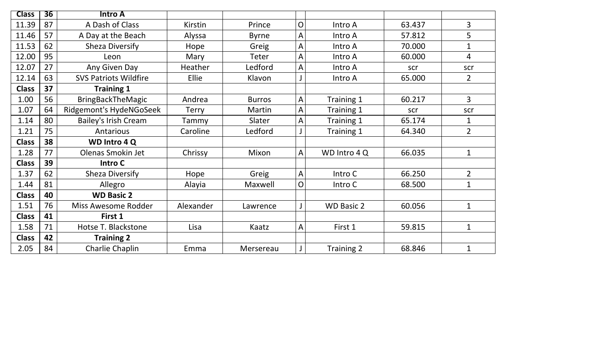| <b>Class</b> | $\overline{36}$ | <b>Intro A</b>               |              |               |              |                   |        |                |
|--------------|-----------------|------------------------------|--------------|---------------|--------------|-------------------|--------|----------------|
| 11.39        | 87              | A Dash of Class              | Kirstin      | Prince        | $\mathsf{O}$ | Intro A           | 63.437 | $\overline{3}$ |
| 11.46        | 57              | A Day at the Beach           | Alyssa       | <b>Byrne</b>  | A            | Intro A           | 57.812 | 5              |
| 11.53        | 62              | <b>Sheza Diversify</b>       | Hope         | Greig         | A            | Intro A           | 70.000 | 1              |
| 12.00        | 95              | Leon                         | Mary         | Teter         | A            | Intro A           | 60.000 | 4              |
| 12.07        | 27              | Any Given Day                | Heather      | Ledford       | A            | Intro A           | scr    | scr            |
| 12.14        | 63              | <b>SVS Patriots Wildfire</b> | <b>Ellie</b> | Klavon        |              | Intro A           | 65.000 | $\overline{2}$ |
| <b>Class</b> | 37              | <b>Training 1</b>            |              |               |              |                   |        |                |
| 1.00         | 56              | <b>BringBackTheMagic</b>     | Andrea       | <b>Burros</b> | A            | Training 1        | 60.217 | $\overline{3}$ |
| 1.07         | 64              | Ridgemont's HydeNGoSeek      | <b>Terry</b> | Martin        | A            | Training 1        | scr    | scr            |
| 1.14         | 80              | Bailey's Irish Cream         | Tammy        | Slater        | $\mathsf{A}$ | Training 1        | 65.174 | $\mathbf 1$    |
| 1.21         | 75              | Antarious                    | Caroline     | Ledford       |              | Training 1        | 64.340 | $\overline{2}$ |
| <b>Class</b> | 38              | <b>WD Intro 4 Q</b>          |              |               |              |                   |        |                |
| 1.28         | 77              | Olenas Smokin Jet            | Chrissy      | Mixon         | $\mathsf{A}$ | WD Intro 4Q       | 66.035 | $\mathbf 1$    |
| <b>Class</b> | 39              | Intro C                      |              |               |              |                   |        |                |
| 1.37         | 62              | <b>Sheza Diversify</b>       | Hope         | Greig         | A            | Intro C           | 66.250 | $\overline{2}$ |
| 1.44         | 81              | Allegro                      | Alayia       | Maxwell       | $\mathsf{O}$ | Intro C           | 68.500 | $\mathbf{1}$   |
| <b>Class</b> | 40              | <b>WD Basic 2</b>            |              |               |              |                   |        |                |
| 1.51         | 76              | Miss Awesome Rodder          | Alexander    | Lawrence      |              | <b>WD Basic 2</b> | 60.056 | $\mathbf 1$    |
| <b>Class</b> | 41              | First 1                      |              |               |              |                   |        |                |
| 1.58         | 71              | Hotse T. Blackstone          | Lisa         | Kaatz         | A            | First 1           | 59.815 | $\mathbf 1$    |
| <b>Class</b> | 42              | <b>Training 2</b>            |              |               |              |                   |        |                |
| 2.05         | 84              | Charlie Chaplin              | Emma         | Mersereau     |              | Training 2        | 68.846 | $\mathbf{1}$   |